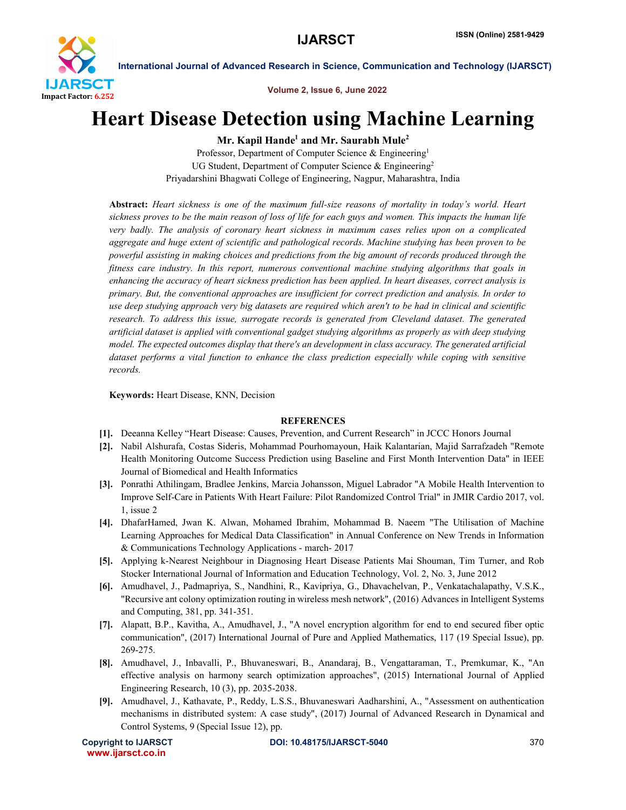

Volume 2, Issue 6, June 2022

## Heart Disease Detection using Machine Learning

Mr. Kapil Hande<sup>1</sup> and Mr. Saurabh Mule<sup>2</sup>

Professor, Department of Computer Science & Engineering<sup>1</sup> UG Student, Department of Computer Science & Engineering<sup>2</sup> Priyadarshini Bhagwati College of Engineering, Nagpur, Maharashtra, India

Abstract: *Heart sickness is one of the maximum full-size reasons of mortality in today's world. Heart sickness proves to be the main reason of loss of life for each guys and women. This impacts the human life very badly. The analysis of coronary heart sickness in maximum cases relies upon on a complicated aggregate and huge extent of scientific and pathological records. Machine studying has been proven to be powerful assisting in making choices and predictions from the big amount of records produced through the fitness care industry. In this report, numerous conventional machine studying algorithms that goals in enhancing the accuracy of heart sickness prediction has been applied. In heart diseases, correct analysis is primary. But, the conventional approaches are insufficient for correct prediction and analysis. In order to use deep studying approach very big datasets are required which aren't to be had in clinical and scientific research. To address this issue, surrogate records is generated from Cleveland dataset. The generated artificial dataset is applied with conventional gadget studying algorithms as properly as with deep studying model. The expected outcomes display that there's an development in class accuracy. The generated artificial dataset performs a vital function to enhance the class prediction especially while coping with sensitive records.*

Keywords: Heart Disease, KNN, Decision

## **REFERENCES**

- [1]. Deeanna Kelley "Heart Disease: Causes, Prevention, and Current Research" in JCCC Honors Journal
- [2]. Nabil Alshurafa, Costas Sideris, Mohammad Pourhomayoun, Haik Kalantarian, Majid Sarrafzadeh "Remote Health Monitoring Outcome Success Prediction using Baseline and First Month Intervention Data" in IEEE Journal of Biomedical and Health Informatics
- [3]. Ponrathi Athilingam, Bradlee Jenkins, Marcia Johansson, Miguel Labrador "A Mobile Health Intervention to Improve Self-Care in Patients With Heart Failure: Pilot Randomized Control Trial" in JMIR Cardio 2017, vol. 1, issue 2
- [4]. DhafarHamed, Jwan K. Alwan, Mohamed Ibrahim, Mohammad B. Naeem "The Utilisation of Machine Learning Approaches for Medical Data Classification" in Annual Conference on New Trends in Information & Communications Technology Applications - march- 2017
- [5]. Applying k-Nearest Neighbour in Diagnosing Heart Disease Patients Mai Shouman, Tim Turner, and Rob Stocker International Journal of Information and Education Technology, Vol. 2, No. 3, June 2012
- [6]. Amudhavel, J., Padmapriya, S., Nandhini, R., Kavipriya, G., Dhavachelvan, P., Venkatachalapathy, V.S.K., "Recursive ant colony optimization routing in wireless mesh network", (2016) Advances in Intelligent Systems and Computing, 381, pp. 341-351.
- [7]. Alapatt, B.P., Kavitha, A., Amudhavel, J., "A novel encryption algorithm for end to end secured fiber optic communication", (2017) International Journal of Pure and Applied Mathematics, 117 (19 Special Issue), pp. 269-275.
- [8]. Amudhavel, J., Inbavalli, P., Bhuvaneswari, B., Anandaraj, B., Vengattaraman, T., Premkumar, K., "An effective analysis on harmony search optimization approaches", (2015) International Journal of Applied Engineering Research, 10 (3), pp. 2035-2038.
- [9]. Amudhavel, J., Kathavate, P., Reddy, L.S.S., Bhuvaneswari Aadharshini, A., "Assessment on authentication mechanisms in distributed system: A case study", (2017) Journal of Advanced Research in Dynamical and Control Systems, 9 (Special Issue 12), pp.